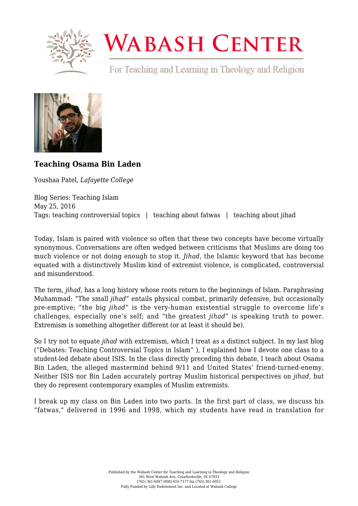

## **WABASH CENTER**

For Teaching and Learning in Theology and Religion



## **[Teaching Osama Bin Laden](https://www.wabashcenter.wabash.edu/2016/05/teaching-osama-bin-laden/)**

Youshaa Patel, *Lafayette College*

Blog Series: Teaching Islam May 25, 2016 Tags: teaching controversial topics | teaching about fatwas | teaching about jihad

Today, Islam is paired with violence so often that these two concepts have become virtually synonymous. Conversations are often wedged between criticisms that Muslims are doing too much violence or not doing enough to stop it. *Jihad*, the Islamic keyword that has become equated with a distinctively Muslim kind of extremist violence, is complicated, controversial and misunderstood.

The term, *jihad*, has a long history whose roots return to the beginnings of Islam. Paraphrasing Muhammad: "The small *jihad*" entails physical combat, primarily defensive, but occasionally pre-emptive; "the big *jihad*" is the very-human existential struggle to overcome life's challenges, especially one's self; and "the greatest *jihad*" is speaking truth to power. Extremism is something altogether different (or at least it should be).

So I try not to equate *jihad* with extremism, which I treat as a distinct subject. In my last blog (["Debates: Teaching Controversial Topics in Islam"](https://www.wabashcenter.wabash.edu/2016/05/debates-a-way-to-teach-controversial-topics-in-islam/) ), I explained how I devote one class to a student-led debate about ISIS. In the class directly preceding this debate, I teach about Osama Bin Laden, the alleged mastermind behind 9/11 and United States' friend-turned-enemy. Neither ISIS nor Bin Laden accurately portray Muslim historical perspectives on *jihad*, but they do represent contemporary examples of Muslim extremists.

I break up my class on Bin Laden into two parts. In the first part of class, we discuss his "fatwas," delivered in 1996 and 1998, which my students have read in translation for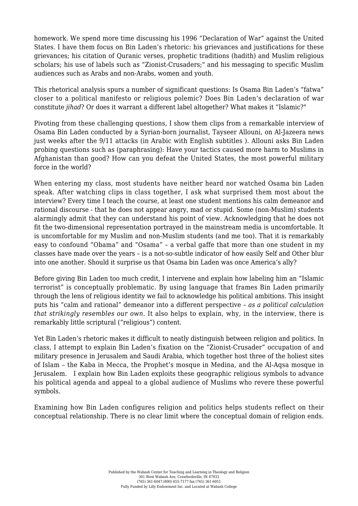homework. We spend more time discussing his 1996 "Declaration of War" against the United States. I have them focus on Bin Laden's rhetoric: his grievances and justifications for these grievances; his citation of Quranic verses, prophetic traditions (hadith) and Muslim religious scholars; his use of labels such as "Zionist-Crusaders;" and his messaging to specific Muslim audiences such as Arabs and non-Arabs, women and youth.

This rhetorical analysis spurs a number of significant questions: Is Osama Bin Laden's "fatwa" closer to a political manifesto or religious polemic? Does Bin Laden's declaration of war constitute *jihad*? Or does it warrant a different label altogether? What makes it "Islamic?"

Pivoting from these challenging questions, I show them clips from a remarkable interview of Osama Bin Laden conducted by a Syrian-born journalist, Tayseer Allouni, on Al-Jazeera news just weeks after the 9/11 attacks ([in Arabic with English subtitles](http://edition.cnn.com/2002/WORLD/asiapcf/south/02/05/binladen.transcript/) ). Allouni asks Bin Laden probing questions such as (paraphrasing): Have your tactics caused more harm to Muslims in Afghanistan than good? How can you defeat the United States, the most powerful military force in the world?

When entering my class, most students have neither heard nor watched Osama bin Laden speak. After watching clips in class together, I ask what surprised them most about the interview? Every time I teach the course, at least one student mentions his calm demeanor and rational discourse - that he does not appear angry, mad or stupid. Some (non-Muslim) students alarmingly admit that they can understand his point of view. Acknowledging that he does not fit the two-dimensional representation portrayed in the mainstream media is uncomfortable. It is uncomfortable for my Muslim and non-Muslim students (and me too). That it is remarkably easy to confound "Obama" and "Osama" – a verbal gaffe that more than one student in my classes have made over the years – is a not-so-subtle indicator of how easily Self and Other blur into one another. Should it surprise us that Osama bin Laden was once America's ally?

Before giving Bin Laden too much credit, I intervene and explain how labeling him an "Islamic terrorist" is conceptually problematic. By using language that frames Bin Laden primarily through the lens of religious identity we fail to acknowledge his political ambitions. This insight puts his "calm and rational" demeanor into a different perspective – *as a political calculation that strikingly resembles our own*. It also helps to explain, why, in the interview, there is remarkably little scriptural ("religious") content.

Yet Bin Laden's rhetoric makes it difficult to neatly distinguish between religion and politics. In class, I attempt to explain Bin Laden's fixation on the "Zionist-Crusader" occupation of and military presence in Jerusalem and Saudi Arabia, which together host three of the holiest sites of Islam – the Kaba in Mecca, the Prophet's mosque in Medina, and the Al-Aqsa mosque in Jerusalem. I explain how Bin Laden exploits these geographic religious symbols to advance his political agenda and appeal to a global audience of Muslims who revere these powerful symbols.

Examining how Bin Laden configures religion and politics helps students reflect on their conceptual relationship. There is no clear limit where the conceptual domain of religion ends.